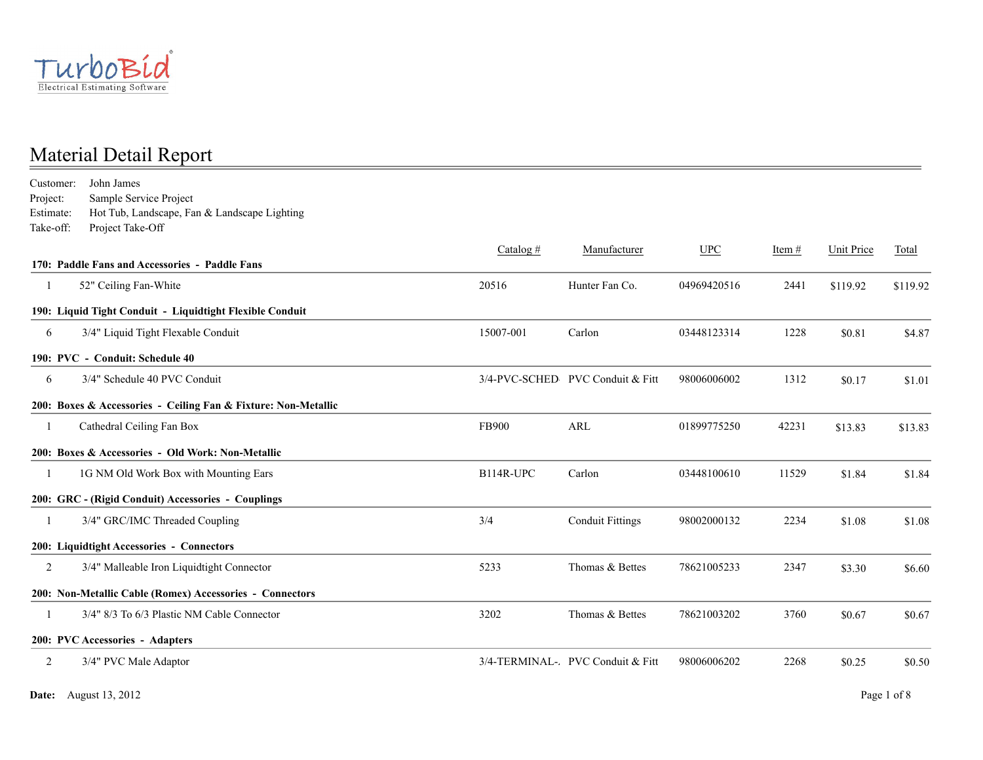

John James Estimate: Take-off: Project Take-Off Customer: Project: Hot Tub, Landscape, Fan & Landscape Lighting Sample Service Project Catalog  $\#$  Manufacturer UPC Item  $\#$  Unit Price Total **170: Paddle Fans and Accessories - Paddle Fans** 1 52" Ceiling Fan-White 20516 Hunter Fan Co. 04969420516 2441 \$119.92 \$119.92 **190: Liquid Tight Conduit - Liquidtight Flexible Conduit** 6 3/4" Liquid Tight Flexable Conduit 15007-001 Carlon 03448123314 1228 \$0.81 \$4.87 **190: PVC - Conduit: Schedule 40** 6 3/4" Schedule 40 PVC Conduit 3/4-PVC-SCHED PVC Conduit & Fitt 98006006002 1312 \$0.17 \$1.01 **200: Boxes & Accessories - Ceiling Fan & Fixture: Non-Metallic** 1 Cathedral Ceiling Fan Box FB900 ARL 01899775250 42231 \$13.83 \$13.83 **200: Boxes & Accessories - Old Work: Non-Metallic** 1 1G NM Old Work Box with Mounting Ears B114R-UPC Carlon 03448100610 11529 \$1.84 \$1.84 **200: GRC - (Rigid Conduit) Accessories - Couplings** 1 3/4" GRC/IMC Threaded Coupling 3/4 Conduit Fittings 98002000132 2234 \$1.08 \$1.08 **200: Liquidtight Accessories - Connectors** 2 3/4" Malleable Iron Liquidtight Connector 5233 Thomas & Bettes 78621005233 2347 \$3.30 \$6.60 **200: Non-Metallic Cable (Romex) Accessories - Connectors** 1 3/4" 8/3 To 6/3 Plastic NM Cable Connector 3202 Thomas & Bettes 78621003202 3760 \$0.67 \$0.67 **200: PVC Accessories - Adapters** 2 3/4" PVC Male Adaptor 3/4-TERMINAL-ADPVC Conduit & Fitt 98006006202 2268 \$0.25 \$0.50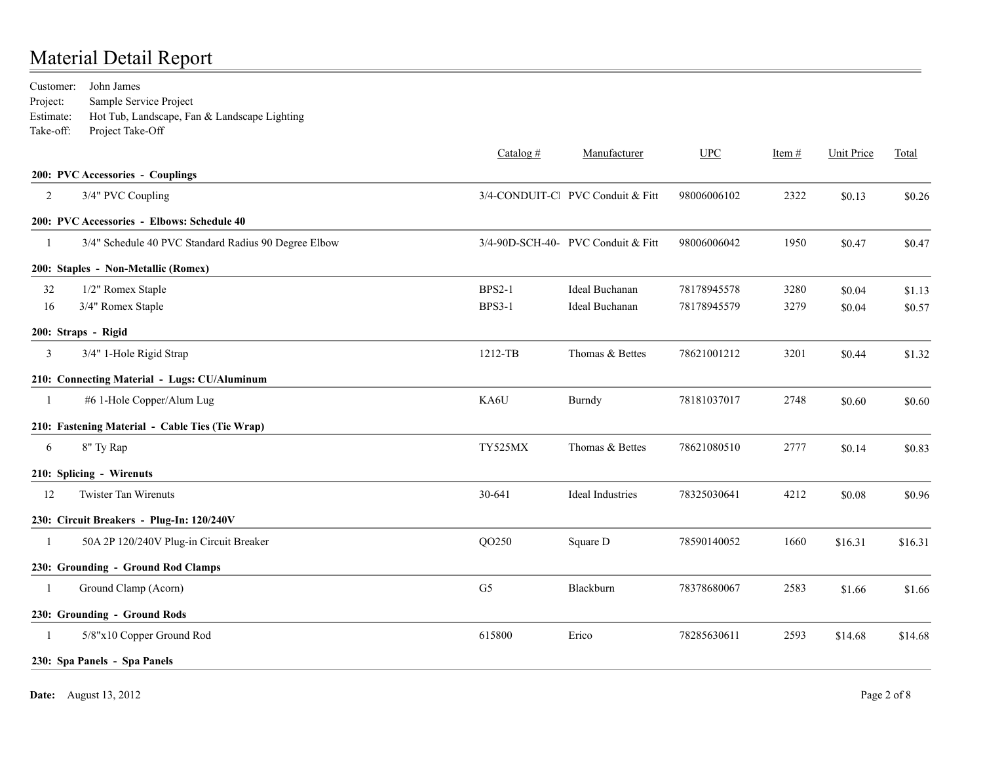| Customer:      | John James                                           |                |                                    |             |          |                   |         |
|----------------|------------------------------------------------------|----------------|------------------------------------|-------------|----------|-------------------|---------|
| Project:       | Sample Service Project                               |                |                                    |             |          |                   |         |
| Estimate:      | Hot Tub, Landscape, Fan & Landscape Lighting         |                |                                    |             |          |                   |         |
| Take-off:      | Project Take-Off                                     |                |                                    |             |          |                   |         |
|                |                                                      | Catalog $#$    | Manufacturer                       | <b>UPC</b>  | Item $#$ | <b>Unit Price</b> | Total   |
|                | 200: PVC Accessories - Couplings                     |                |                                    |             |          |                   |         |
| 2              | 3/4" PVC Coupling                                    |                | 3/4-CONDUIT-Cl PVC Conduit & Fitt  | 98006006102 | 2322     | \$0.13            | \$0.26  |
|                | 200: PVC Accessories - Elbows: Schedule 40           |                |                                    |             |          |                   |         |
| $\mathbf{1}$   | 3/4" Schedule 40 PVC Standard Radius 90 Degree Elbow |                | 3/4-90D-SCH-40- PVC Conduit & Fitt | 98006006042 | 1950     | \$0.47            | \$0.47  |
|                | 200: Staples - Non-Metallic (Romex)                  |                |                                    |             |          |                   |         |
| 32             | 1/2" Romex Staple                                    | <b>BPS2-1</b>  | Ideal Buchanan                     | 78178945578 | 3280     | \$0.04            | \$1.13  |
| 16             | 3/4" Romex Staple                                    | <b>BPS3-1</b>  | Ideal Buchanan                     | 78178945579 | 3279     | \$0.04            | \$0.57  |
|                | 200: Straps - Rigid                                  |                |                                    |             |          |                   |         |
| 3              | 3/4" 1-Hole Rigid Strap                              | 1212-TB        | Thomas & Bettes                    | 78621001212 | 3201     | \$0.44            | \$1.32  |
|                | 210: Connecting Material - Lugs: CU/Aluminum         |                |                                    |             |          |                   |         |
| -1             | #6 1-Hole Copper/Alum Lug                            | KA6U           | Burndy                             | 78181037017 | 2748     | \$0.60            | \$0.60  |
|                | 210: Fastening Material - Cable Ties (Tie Wrap)      |                |                                    |             |          |                   |         |
| 6              | 8" Ty Rap                                            | TY525MX        | Thomas & Bettes                    | 78621080510 | 2777     | \$0.14            | \$0.83  |
|                | 210: Splicing - Wirenuts                             |                |                                    |             |          |                   |         |
| 12             | <b>Twister Tan Wirenuts</b>                          | 30-641         | <b>Ideal Industries</b>            | 78325030641 | 4212     | \$0.08            | \$0.96  |
|                | 230: Circuit Breakers - Plug-In: 120/240V            |                |                                    |             |          |                   |         |
| -1             | 50A 2P 120/240V Plug-in Circuit Breaker              | QO250          | Square D                           | 78590140052 | 1660     | \$16.31           | \$16.31 |
|                | 230: Grounding - Ground Rod Clamps                   |                |                                    |             |          |                   |         |
| -1             | Ground Clamp (Acorn)                                 | G <sub>5</sub> | Blackburn                          | 78378680067 | 2583     | \$1.66            | \$1.66  |
|                | 230: Grounding - Ground Rods                         |                |                                    |             |          |                   |         |
| $\overline{1}$ | 5/8"x10 Copper Ground Rod                            | 615800         | Erico                              | 78285630611 | 2593     | \$14.68           | \$14.68 |
|                | 230: Spa Panels - Spa Panels                         |                |                                    |             |          |                   |         |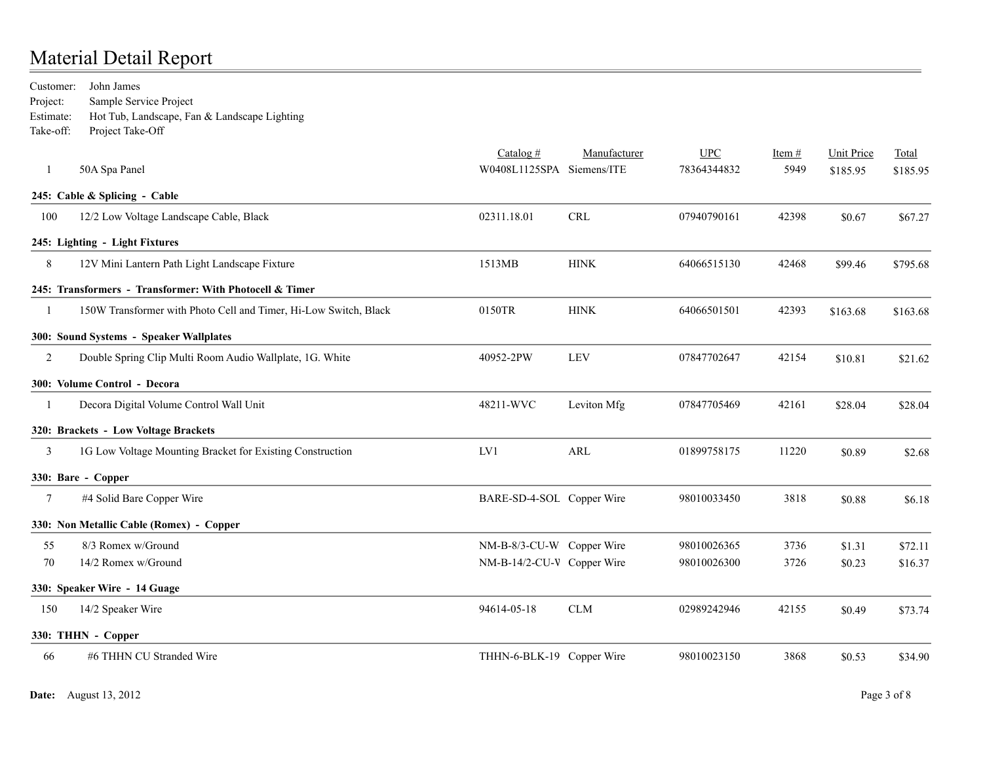John James Estimate: Take-off: Project Take-Off Customer: Project: Hot Tub, Landscape, Fan & Landscape Lighting Sample Service Project Catalog # Manufacturer UPC Item # Unit Price Total 1 50A Spa Panel 30 States and Superior States and Superior W0408L1125SPA Siemens/ITE 78364344832 5949 \$185.95 \$185.95 **245: Cable & Splicing - Cable** 100 12/2 Low Voltage Landscape Cable, Black 02311.18.01 CRL 07940790161 42398 \$0.67 \$67.27 **245: Lighting - Light Fixtures** 8 12V Mini Lantern Path Light Landscape Fixture 1513MB HINK 64066515130 42468 \$99.46 \$795.68 **245: Transformers - Transformer: With Photocell & Timer** 1 150W Transformer with Photo Cell and Timer, Hi-Low Switch, Black 0150TR HINK 64066501501 42393 \$163.68 \$163.68 **300: Sound Systems - Speaker Wallplates** 2 Double Spring Clip Multi Room Audio Wallplate, 1G. White 40952-2PW LEV 07847702647 42154 \$10.81 \$21.62 **300: Volume Control - Decora** 1 Decora Digital Volume Control Wall Unit 1988.04 528.04 48211-WVC Leviton Mfg 07847705469 42161 \$28.04 \$28.04 **320: Brackets - Low Voltage Brackets** 3 1G Low Voltage Mounting Bracket for Existing Construction LV1 ARL 01899758175 11220 \$0.89 \$2.68 **330: Bare - Copper** 7 #4 Solid Bare Copper Wire **BARE-SD-4-SOL** Copper Wire 98010033450 3818 \$0.88 \$6.18 **330: Non Metallic Cable (Romex) - Copper** 55 8/3 Romex w/Ground 10 1 272.11 \$72.11 ST2.11  $NM-B-8/3$ -CU-W Copper Wire 98010026365 3736 \$1.31 \$72.11 70 14/2 Romex w/Ground NM-B-14/2-CU-WGCopper Wire 98010026300 3726 \$0.23 \$16.37 **330: Speaker Wire - 14 Guage** 150 14/2 Speaker Wire 94614-05-18 CLM 02989242946 42155 \$0.49 \$73.74 **330: THHN - Copper** 66 #6 THHN CU Stranded Wire \$34.90 \$34.90 THHN-6-BLK-19 Copper Wire \$8010023150 \$3868 \$0.53 \$34.90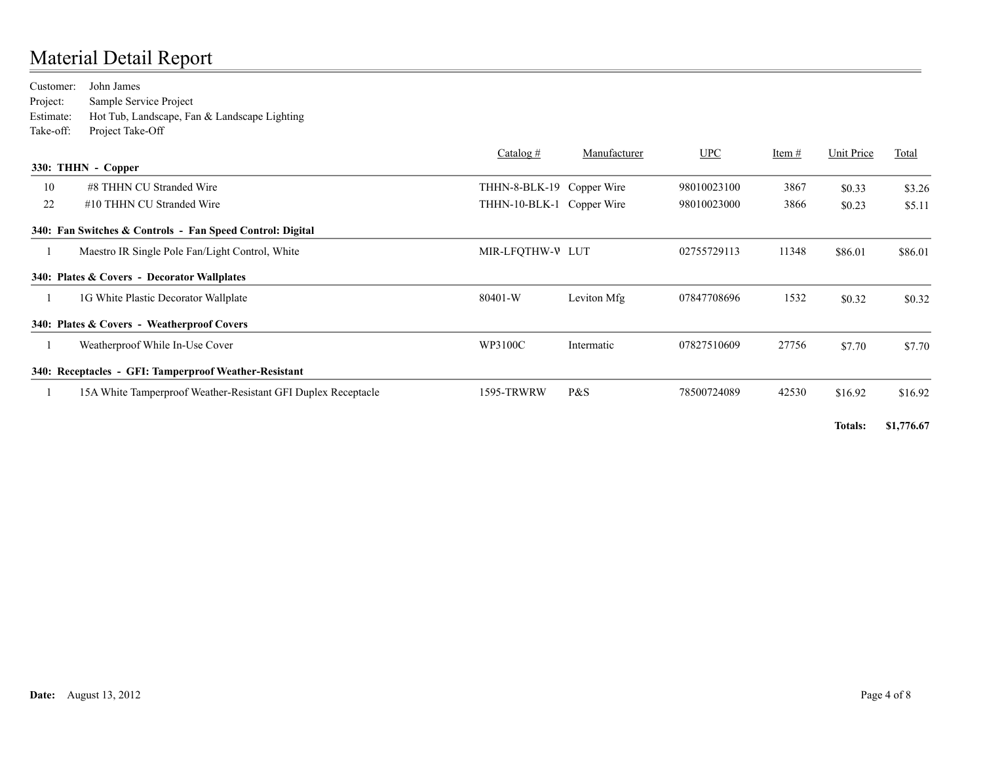| Customer: | John James                                                    |                           |              |             |          |            |         |
|-----------|---------------------------------------------------------------|---------------------------|--------------|-------------|----------|------------|---------|
| Project:  | Sample Service Project                                        |                           |              |             |          |            |         |
| Estimate: | Hot Tub, Landscape, Fan & Landscape Lighting                  |                           |              |             |          |            |         |
| Take-off: | Project Take-Off                                              |                           |              |             |          |            |         |
|           |                                                               | Catalog $#$               | Manufacturer | <b>UPC</b>  | Item $#$ | Unit Price | Total   |
|           | 330: THHN - Copper                                            |                           |              |             |          |            |         |
| 10        | #8 THHN CU Stranded Wire                                      | THHN-8-BLK-19 Copper Wire |              | 98010023100 | 3867     | \$0.33     | \$3.26  |
| 22        | #10 THHN CU Stranded Wire                                     | THHN-10-BLK-1 Copper Wire |              | 98010023000 | 3866     | \$0.23     | \$5.11  |
|           | 340: Fan Switches & Controls - Fan Speed Control: Digital     |                           |              |             |          |            |         |
|           | Maestro IR Single Pole Fan/Light Control, White               | MIR-LFQTHW-V LUT          |              | 02755729113 | 11348    | \$86.01    | \$86.01 |
|           | 340: Plates & Covers - Decorator Wallplates                   |                           |              |             |          |            |         |
|           | 1G White Plastic Decorator Wallplate                          | 80401-W                   | Leviton Mfg  | 07847708696 | 1532     | \$0.32     | \$0.32  |
|           | 340: Plates & Covers - Weatherproof Covers                    |                           |              |             |          |            |         |
|           | Weatherproof While In-Use Cover                               | WP3100C                   | Intermatic   | 07827510609 | 27756    | \$7.70     | \$7.70  |
|           | 340: Receptacles - GFI: Tamperproof Weather-Resistant         |                           |              |             |          |            |         |
|           | 15A White Tamperproof Weather-Resistant GFI Duplex Receptacle | 1595-TRWRW                | P&S          | 78500724089 | 42530    | \$16.92    | \$16.92 |

**Totals: \$1,776.67**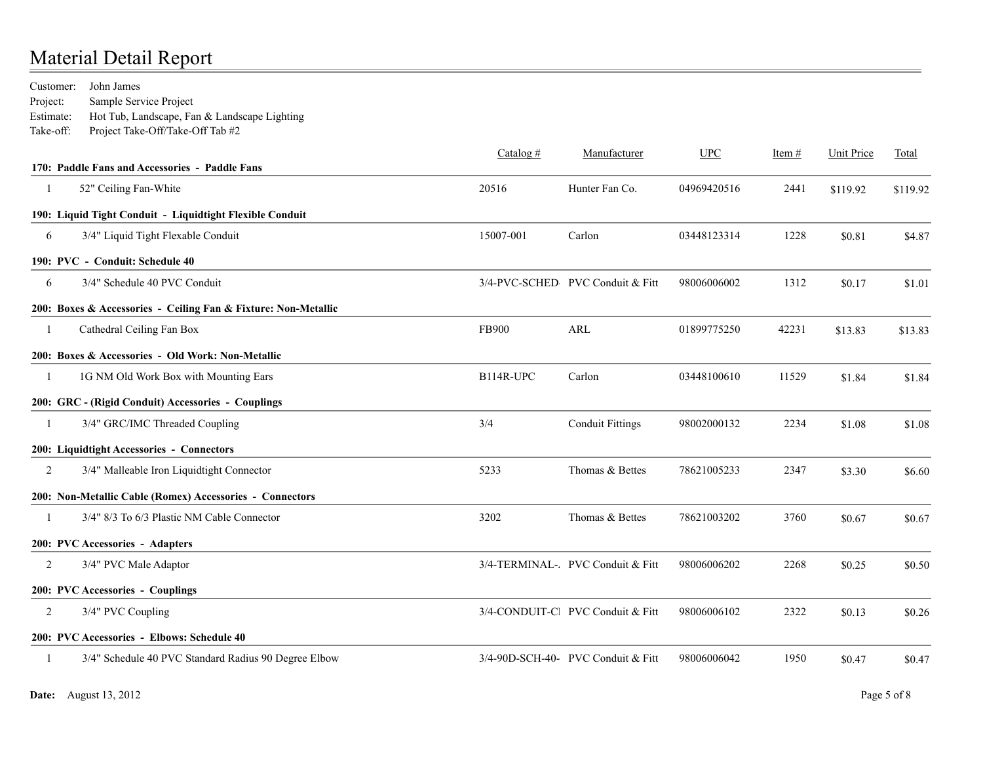John James Estimate: Take-off: Project Take-Off/Take-Off Tab #2 Customer: Project: Hot Tub, Landscape, Fan & Landscape Lighting Sample Service Project

|    |                                                                | Catalog $#$ | Manufacturer                       | <b>UPC</b>  | Item $#$ | <b>Unit Price</b> | Total    |
|----|----------------------------------------------------------------|-------------|------------------------------------|-------------|----------|-------------------|----------|
|    | 170: Paddle Fans and Accessories - Paddle Fans                 |             |                                    |             |          |                   |          |
|    | 52" Ceiling Fan-White                                          | 20516       | Hunter Fan Co.                     | 04969420516 | 2441     | \$119.92          | \$119.92 |
|    | 190: Liquid Tight Conduit - Liquidtight Flexible Conduit       |             |                                    |             |          |                   |          |
| 6  | 3/4" Liquid Tight Flexable Conduit                             | 15007-001   | Carlon                             | 03448123314 | 1228     | \$0.81            | \$4.87   |
|    | 190: PVC - Conduit: Schedule 40                                |             |                                    |             |          |                   |          |
| 6  | 3/4" Schedule 40 PVC Conduit                                   |             | 3/4-PVC-SCHED PVC Conduit & Fitt   | 98006006002 | 1312     | \$0.17            | \$1.01   |
|    | 200: Boxes & Accessories - Ceiling Fan & Fixture: Non-Metallic |             |                                    |             |          |                   |          |
| -1 | Cathedral Ceiling Fan Box                                      | FB900       | ARL                                | 01899775250 | 42231    | \$13.83           | \$13.83  |
|    | 200: Boxes & Accessories - Old Work: Non-Metallic              |             |                                    |             |          |                   |          |
| J  | 1G NM Old Work Box with Mounting Ears                          | B114R-UPC   | Carlon                             | 03448100610 | 11529    | \$1.84            | \$1.84   |
|    | 200: GRC - (Rigid Conduit) Accessories - Couplings             |             |                                    |             |          |                   |          |
|    | 3/4" GRC/IMC Threaded Coupling                                 | 3/4         | <b>Conduit Fittings</b>            | 98002000132 | 2234     | \$1.08            | \$1.08   |
|    | 200: Liquidtight Accessories - Connectors                      |             |                                    |             |          |                   |          |
| 2  | 3/4" Malleable Iron Liquidtight Connector                      | 5233        | Thomas & Bettes                    | 78621005233 | 2347     | \$3.30            | \$6.60   |
|    | 200: Non-Metallic Cable (Romex) Accessories - Connectors       |             |                                    |             |          |                   |          |
|    | 3/4" 8/3 To 6/3 Plastic NM Cable Connector                     | 3202        | Thomas & Bettes                    | 78621003202 | 3760     | \$0.67            | \$0.67   |
|    | 200: PVC Accessories - Adapters                                |             |                                    |             |          |                   |          |
| 2  | 3/4" PVC Male Adaptor                                          |             | 3/4-TERMINAL-. PVC Conduit & Fitt  | 98006006202 | 2268     | \$0.25            | \$0.50   |
|    | 200: PVC Accessories - Couplings                               |             |                                    |             |          |                   |          |
| 2  | 3/4" PVC Coupling                                              |             | 3/4-CONDUIT-Cl PVC Conduit & Fitt  | 98006006102 | 2322     | \$0.13            | \$0.26   |
|    | 200: PVC Accessories - Elbows: Schedule 40                     |             |                                    |             |          |                   |          |
|    | 3/4" Schedule 40 PVC Standard Radius 90 Degree Elbow           |             | 3/4-90D-SCH-40- PVC Conduit & Fitt | 98006006042 | 1950     | \$0.47            | \$0.47   |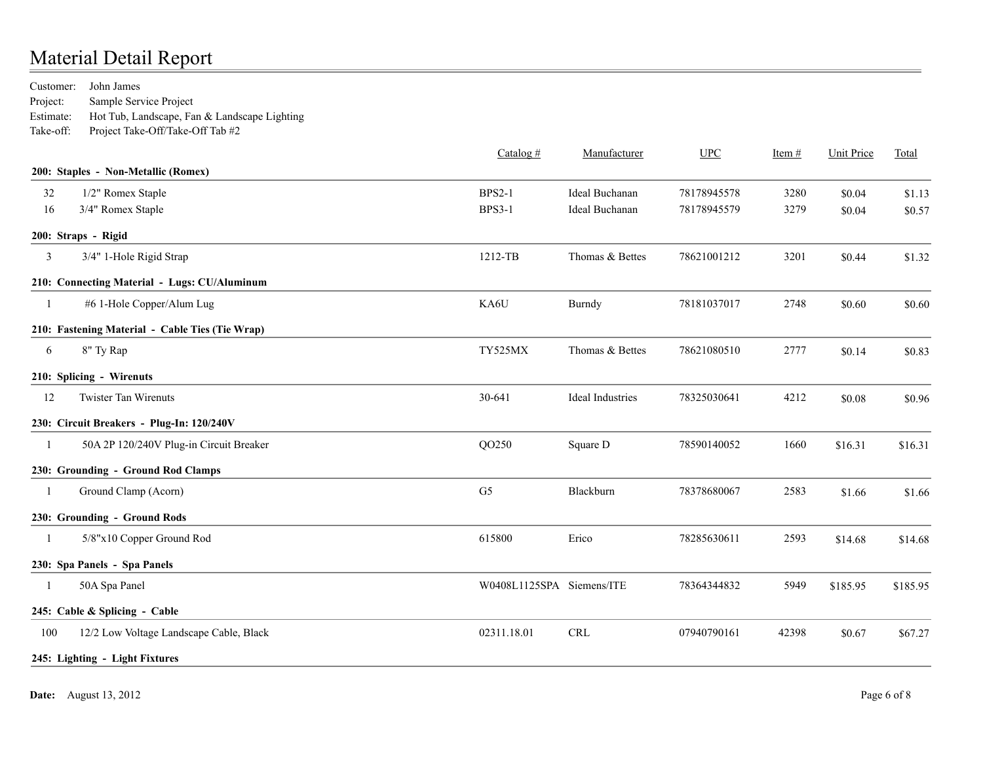John James Estimate: Take-off: Project Take-Off/Take-Off Tab #2 Customer: Project: Hot Tub, Landscape, Fan & Landscape Lighting Sample Service Project

|     |                                                 | Catalog $#$               | Manufacturer     | UPC         | Item $#$ | <b>Unit Price</b> | Total    |
|-----|-------------------------------------------------|---------------------------|------------------|-------------|----------|-------------------|----------|
|     | 200: Staples - Non-Metallic (Romex)             |                           |                  |             |          |                   |          |
| 32  | 1/2" Romex Staple                               | <b>BPS2-1</b>             | Ideal Buchanan   | 78178945578 | 3280     | \$0.04            | \$1.13   |
| 16  | 3/4" Romex Staple                               | <b>BPS3-1</b>             | Ideal Buchanan   | 78178945579 | 3279     | \$0.04            | \$0.57   |
|     | 200: Straps - Rigid                             |                           |                  |             |          |                   |          |
| 3   | 3/4" 1-Hole Rigid Strap                         | 1212-TB                   | Thomas & Bettes  | 78621001212 | 3201     | \$0.44            | \$1.32   |
|     | 210: Connecting Material - Lugs: CU/Aluminum    |                           |                  |             |          |                   |          |
| -1  | #6 1-Hole Copper/Alum Lug                       | KA6U                      | Burndy           | 78181037017 | 2748     | \$0.60            | \$0.60   |
|     | 210: Fastening Material - Cable Ties (Tie Wrap) |                           |                  |             |          |                   |          |
| 6   | 8" Ty Rap                                       | TY525MX                   | Thomas & Bettes  | 78621080510 | 2777     | \$0.14            | \$0.83   |
|     | 210: Splicing - Wirenuts                        |                           |                  |             |          |                   |          |
| 12  | <b>Twister Tan Wirenuts</b>                     | 30-641                    | Ideal Industries | 78325030641 | 4212     | \$0.08            | \$0.96   |
|     | 230: Circuit Breakers - Plug-In: 120/240V       |                           |                  |             |          |                   |          |
| -1  | 50A 2P 120/240V Plug-in Circuit Breaker         | QO250                     | Square D         | 78590140052 | 1660     | \$16.31           | \$16.31  |
|     | 230: Grounding - Ground Rod Clamps              |                           |                  |             |          |                   |          |
| -1  | Ground Clamp (Acorn)                            | G <sub>5</sub>            | Blackburn        | 78378680067 | 2583     | \$1.66            | \$1.66   |
|     | 230: Grounding - Ground Rods                    |                           |                  |             |          |                   |          |
| -1  | 5/8"x10 Copper Ground Rod                       | 615800                    | Erico            | 78285630611 | 2593     | \$14.68           | \$14.68  |
|     | 230: Spa Panels - Spa Panels                    |                           |                  |             |          |                   |          |
|     | 50A Spa Panel                                   | W0408L1125SPA Siemens/ITE |                  | 78364344832 | 5949     | \$185.95          | \$185.95 |
|     | 245: Cable & Splicing - Cable                   |                           |                  |             |          |                   |          |
| 100 | 12/2 Low Voltage Landscape Cable, Black         | 02311.18.01               | <b>CRL</b>       | 07940790161 | 42398    | \$0.67            | \$67.27  |
|     | 245: Lighting - Light Fixtures                  |                           |                  |             |          |                   |          |
|     |                                                 |                           |                  |             |          |                   |          |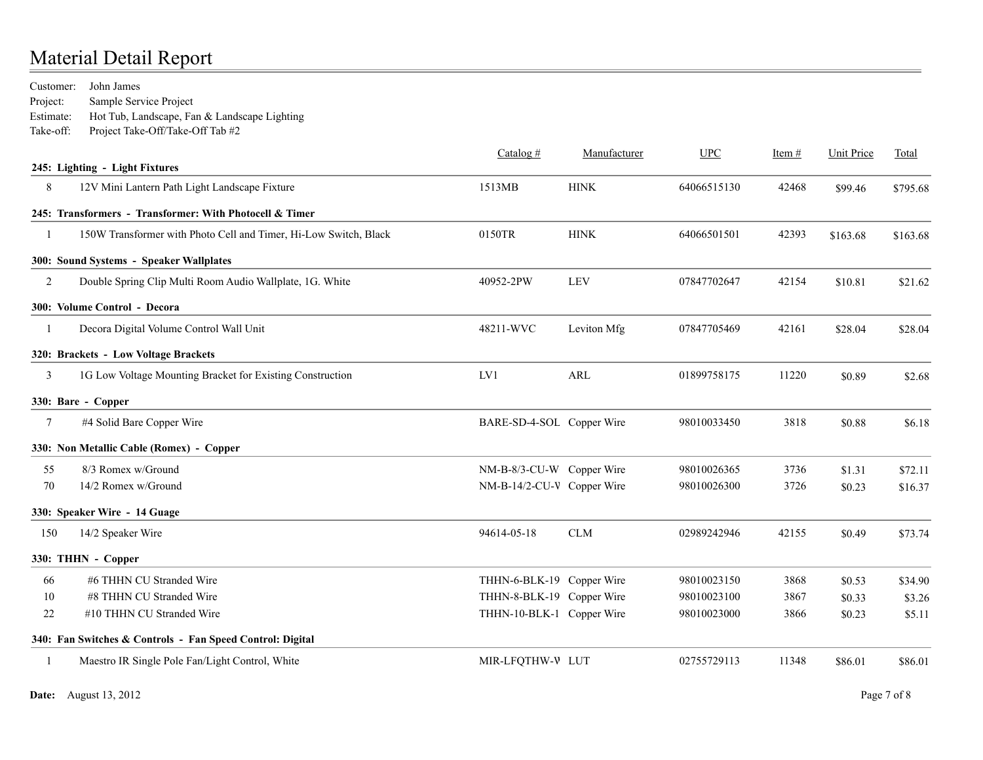John James Estimate: Take-off: Project Take-Off/Take-Off Tab #2 Customer: Project: Hot Tub, Landscape, Fan & Landscape Lighting Sample Service Project

|              | 245: Lighting - Light Fixtures                                   | Catalog $#$                | Manufacturer | <b>UPC</b>  | Item $#$ | <b>Unit Price</b> | Total    |
|--------------|------------------------------------------------------------------|----------------------------|--------------|-------------|----------|-------------------|----------|
| 8            | 12V Mini Lantern Path Light Landscape Fixture                    | 1513MB                     | <b>HINK</b>  | 64066515130 | 42468    | \$99.46           | \$795.68 |
|              | 245: Transformers - Transformer: With Photocell & Timer          |                            |              |             |          |                   |          |
| $\mathbf{1}$ | 150W Transformer with Photo Cell and Timer, Hi-Low Switch, Black | 0150TR                     | <b>HINK</b>  | 64066501501 | 42393    | \$163.68          | \$163.68 |
|              | 300: Sound Systems - Speaker Wallplates                          |                            |              |             |          |                   |          |
| 2            | Double Spring Clip Multi Room Audio Wallplate, 1G. White         | 40952-2PW                  | <b>LEV</b>   | 07847702647 | 42154    | \$10.81           | \$21.62  |
|              | 300: Volume Control - Decora                                     |                            |              |             |          |                   |          |
| -1           | Decora Digital Volume Control Wall Unit                          | 48211-WVC                  | Leviton Mfg  | 07847705469 | 42161    | \$28.04           | \$28.04  |
|              | 320: Brackets - Low Voltage Brackets                             |                            |              |             |          |                   |          |
| 3            | 1G Low Voltage Mounting Bracket for Existing Construction        | LV1                        | ARL          | 01899758175 | 11220    | \$0.89            | \$2.68   |
|              | 330: Bare - Copper                                               |                            |              |             |          |                   |          |
| 7            | #4 Solid Bare Copper Wire                                        | BARE-SD-4-SOL Copper Wire  |              | 98010033450 | 3818     | \$0.88            | \$6.18   |
|              | 330: Non Metallic Cable (Romex) - Copper                         |                            |              |             |          |                   |          |
| 55           | 8/3 Romex w/Ground                                               | NM-B-8/3-CU-W Copper Wire  |              | 98010026365 | 3736     | \$1.31            | \$72.11  |
| 70           | 14/2 Romex w/Ground                                              | NM-B-14/2-CU-V Copper Wire |              | 98010026300 | 3726     | \$0.23            | \$16.37  |
|              | 330: Speaker Wire - 14 Guage                                     |                            |              |             |          |                   |          |
| 150          | 14/2 Speaker Wire                                                | 94614-05-18                | <b>CLM</b>   | 02989242946 | 42155    | \$0.49            | \$73.74  |
|              | 330: THHN - Copper                                               |                            |              |             |          |                   |          |
| 66           | #6 THHN CU Stranded Wire                                         | THHN-6-BLK-19 Copper Wire  |              | 98010023150 | 3868     | \$0.53            | \$34.90  |
| 10           | #8 THHN CU Stranded Wire                                         | THHN-8-BLK-19 Copper Wire  |              | 98010023100 | 3867     | \$0.33            | \$3.26   |
| 22           | #10 THHN CU Stranded Wire                                        | THHN-10-BLK-1 Copper Wire  |              | 98010023000 | 3866     | \$0.23            | \$5.11   |
|              | 340: Fan Switches & Controls - Fan Speed Control: Digital        |                            |              |             |          |                   |          |
| -1           | Maestro IR Single Pole Fan/Light Control, White                  | MIR-LFQTHW-V LUT           |              | 02755729113 | 11348    | \$86.01           | \$86.01  |